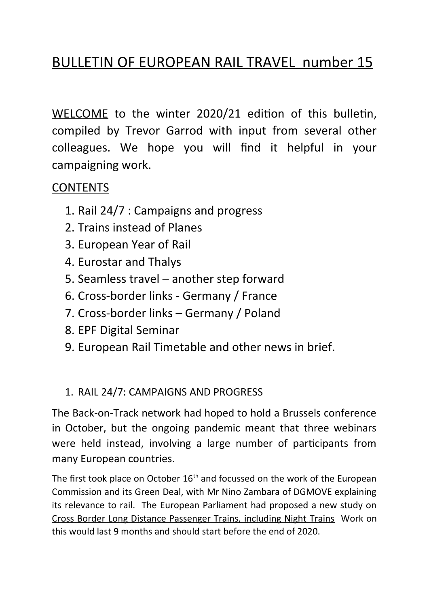# BULLETIN OF EUROPEAN RAIL TRAVEL number 15

WELCOME to the winter 2020/21 edition of this bulletin, compiled by Trevor Garrod with input from several other colleagues. We hope you will find it helpful in your campaigning work.

# **CONTENTS**

- 1. Rail 24/7 : Campaigns and progress
- 2. Trains instead of Planes
- 3. European Year of Rail
- 4. Eurostar and Thalys
- 5. Seamless travel another step forward
- 6. Cross-border links Germany / France
- 7. Cross-border links Germany / Poland
- 8. EPF Digital Seminar
- 9. European Rail Timetable and other news in brief.

# 1. RAIL 24/7: CAMPAIGNS AND PROGRESS

The Back-on-Track network had hoped to hold a Brussels conference in October, but the ongoing pandemic meant that three webinars were held instead, involving a large number of participants from many European countries.

The first took place on October  $16<sup>th</sup>$  and focussed on the work of the European Commission and its Green Deal, with Mr Nino Zambara of DGMOVE explaining its relevance to rail. The European Parliament had proposed a new study on Cross Border Long Distance Passenger Trains, including Night Trains Work on this would last 9 months and should start before the end of 2020.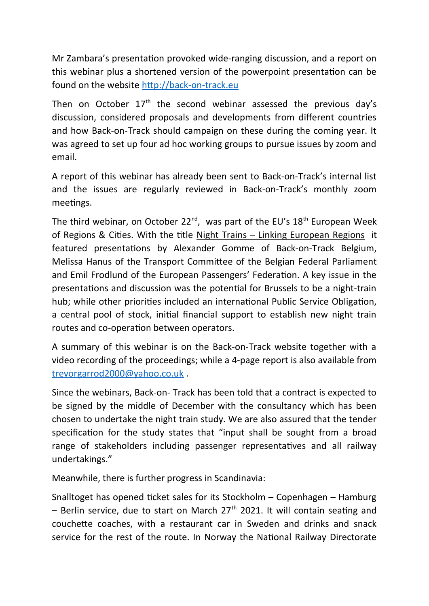Mr Zambara's presentation provoked wide-ranging discussion, and a report on this webinar plus a shortened version of the powerpoint presentation can be found on the website [http://back-on-track.eu](http://back-on-track.eu/)

Then on October  $17<sup>th</sup>$  the second webinar assessed the previous day's discussion, considered proposals and developments from different countries and how Back-on-Track should campaign on these during the coming year. It was agreed to set up four ad hoc working groups to pursue issues by zoom and email.

A report of this webinar has already been sent to Back-on-Track's internal list and the issues are regularly reviewed in Back-on-Track's monthly zoom meetings.

The third webinar, on October 22<sup>nd</sup>, was part of the EU's  $18<sup>th</sup>$  European Week of Regions & Cities. With the title Night Trains – Linking European Regions it featured presentations by Alexander Gomme of Back-on-Track Belgium, Melissa Hanus of the Transport Committee of the Belgian Federal Parliament and Emil Frodlund of the European Passengers' Federation. A key issue in the presentations and discussion was the potential for Brussels to be a night-train hub; while other priorities included an international Public Service Obligation, a central pool of stock, initial financial support to establish new night train routes and co-operation between operators.

A summary of this webinar is on the Back-on-Track website together with a video recording of the proceedings; while a 4-page report is also available from [trevorgarrod2000@yahoo.co.uk](mailto:trevorgarrod2000@yahoo.co.uk) .

Since the webinars, Back-on- Track has been told that a contract is expected to be signed by the middle of December with the consultancy which has been chosen to undertake the night train study. We are also assured that the tender specification for the study states that "input shall be sought from a broad range of stakeholders including passenger representatives and all railway undertakings."

Meanwhile, there is further progress in Scandinavia:

Snalltoget has opened ticket sales for its Stockholm – Copenhagen – Hamburg – Berlin service, due to start on March  $27<sup>th</sup>$  2021. It will contain seating and couchette coaches, with a restaurant car in Sweden and drinks and snack service for the rest of the route. In Norway the National Railway Directorate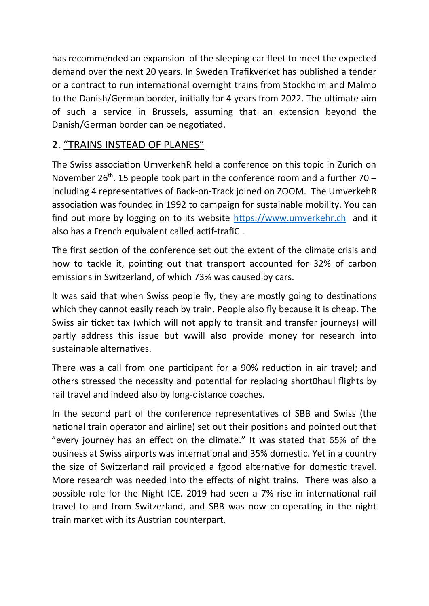has recommended an expansion of the sleeping car fleet to meet the expected demand over the next 20 years. In Sweden Trafikverket has published a tender or a contract to run international overnight trains from Stockholm and Malmo to the Danish/German border, initially for 4 years from 2022. The ultimate aim of such a service in Brussels, assuming that an extension beyond the Danish/German border can be negotiated.

## 2. "TRAINS INSTEAD OF PLANES"

The Swiss association UmverkehR held a conference on this topic in Zurich on November  $26^{th}$ . 15 people took part in the conference room and a further  $70$ including 4 representatives of Back-on-Track joined on ZOOM. The UmverkehR association was founded in 1992 to campaign for sustainable mobility. You can find out more by logging on to its website [https://www.umverkehr.ch](https://www.umverkehr.ch/) and it also has a French equivalent called actif-trafiC .

The first section of the conference set out the extent of the climate crisis and how to tackle it, pointing out that transport accounted for 32% of carbon emissions in Switzerland, of which 73% was caused by cars.

It was said that when Swiss people fly, they are mostly going to destinations which they cannot easily reach by train. People also fly because it is cheap. The Swiss air ticket tax (which will not apply to transit and transfer journeys) will partly address this issue but wwill also provide money for research into sustainable alternatives.

There was a call from one participant for a 90% reduction in air travel; and others stressed the necessity and potential for replacing short0haul flights by rail travel and indeed also by long-distance coaches.

In the second part of the conference representatives of SBB and Swiss (the national train operator and airline) set out their positions and pointed out that "every journey has an effect on the climate." It was stated that 65% of the business at Swiss airports was international and 35% domestic. Yet in a country the size of Switzerland rail provided a fgood alternative for domestic travel. More research was needed into the effects of night trains. There was also a possible role for the Night ICE. 2019 had seen a 7% rise in international rail travel to and from Switzerland, and SBB was now co-operating in the night train market with its Austrian counterpart.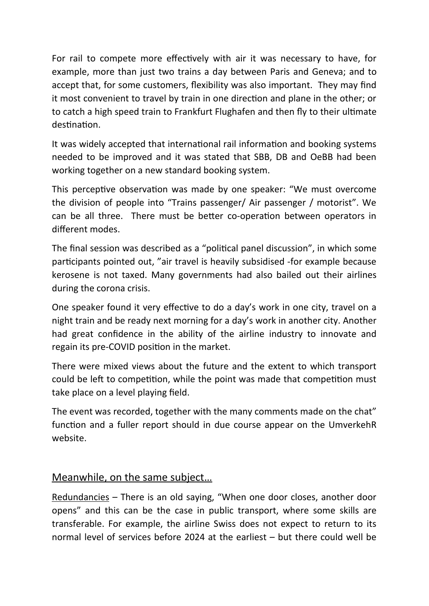For rail to compete more effectively with air it was necessary to have, for example, more than just two trains a day between Paris and Geneva; and to accept that, for some customers, flexibility was also important. They may find it most convenient to travel by train in one direction and plane in the other; or to catch a high speed train to Frankfurt Flughafen and then fly to their ultimate destination.

It was widely accepted that international rail information and booking systems needed to be improved and it was stated that SBB, DB and OeBB had been working together on a new standard booking system.

This perceptive observation was made by one speaker: "We must overcome the division of people into "Trains passenger/ Air passenger / motorist". We can be all three. There must be better co-operation between operators in different modes.

The final session was described as a "political panel discussion", in which some participants pointed out, "air travel is heavily subsidised -for example because kerosene is not taxed. Many governments had also bailed out their airlines during the corona crisis.

One speaker found it very effective to do a day's work in one city, travel on a night train and be ready next morning for a day's work in another city. Another had great confidence in the ability of the airline industry to innovate and regain its pre-COVID position in the market.

There were mixed views about the future and the extent to which transport could be left to competition, while the point was made that competition must take place on a level playing field.

The event was recorded, together with the many comments made on the chat" function and a fuller report should in due course appear on the UmverkehR website.

### Meanwhile, on the same subject…

Redundancies – There is an old saying, "When one door closes, another door opens" and this can be the case in public transport, where some skills are transferable. For example, the airline Swiss does not expect to return to its normal level of services before 2024 at the earliest – but there could well be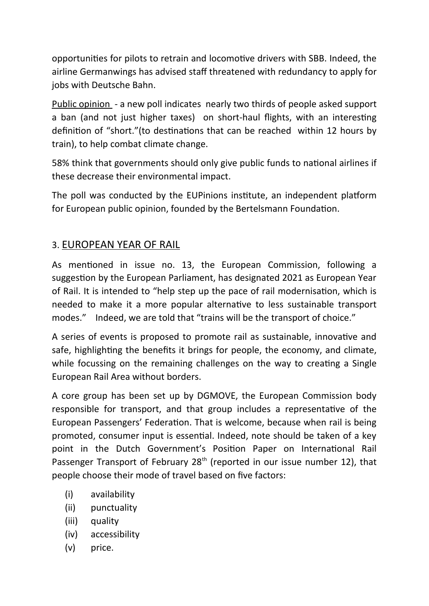opportunities for pilots to retrain and locomotive drivers with SBB. Indeed, the airline Germanwings has advised staff threatened with redundancy to apply for jobs with Deutsche Bahn.

Public opinion - a new poll indicates nearly two thirds of people asked support a ban (and not just higher taxes) on short-haul flights, with an interesting definition of "short."(to destinations that can be reached within 12 hours by train), to help combat climate change.

58% think that governments should only give public funds to national airlines if these decrease their environmental impact.

The poll was conducted by the EUPinions institute, an independent platform for European public opinion, founded by the Bertelsmann Foundation.

### 3. EUROPEAN YEAR OF RAIL

As mentioned in issue no. 13, the European Commission, following a suggestion by the European Parliament, has designated 2021 as European Year of Rail. It is intended to "help step up the pace of rail modernisation, which is needed to make it a more popular alternative to less sustainable transport modes." Indeed, we are told that "trains will be the transport of choice."

A series of events is proposed to promote rail as sustainable, innovative and safe, highlighting the benefits it brings for people, the economy, and climate, while focussing on the remaining challenges on the way to creating a Single European Rail Area without borders.

A core group has been set up by DGMOVE, the European Commission body responsible for transport, and that group includes a representative of the European Passengers' Federation. That is welcome, because when rail is being promoted, consumer input is essential. Indeed, note should be taken of a key point in the Dutch Government's Position Paper on International Rail Passenger Transport of February 28<sup>th</sup> (reported in our issue number 12), that people choose their mode of travel based on five factors:

- (i) availability
- (ii) punctuality
- (iii) quality
- (iv) accessibility
- (v) price.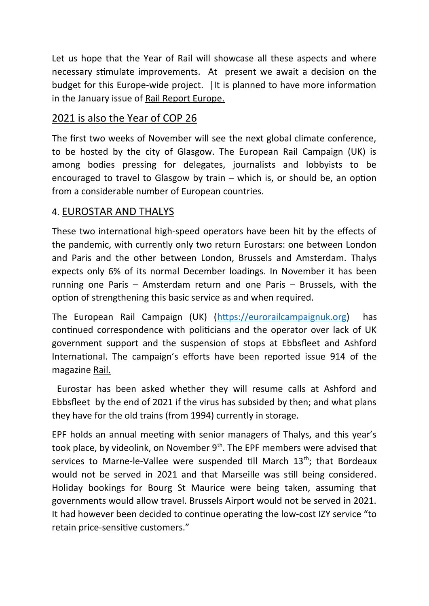Let us hope that the Year of Rail will showcase all these aspects and where necessary stimulate improvements. At present we await a decision on the budget for this Europe-wide project. |It is planned to have more information in the January issue of Rail Report Europe.

#### 2021 is also the Year of COP 26

The first two weeks of November will see the next global climate conference, to be hosted by the city of Glasgow. The European Rail Campaign (UK) is among bodies pressing for delegates, journalists and lobbyists to be encouraged to travel to Glasgow by train – which is, or should be, an option from a considerable number of European countries.

### 4. EUROSTAR AND THALYS

These two international high-speed operators have been hit by the effects of the pandemic, with currently only two return Eurostars: one between London and Paris and the other between London, Brussels and Amsterdam. Thalys expects only 6% of its normal December loadings. In November it has been running one Paris – Amsterdam return and one Paris – Brussels, with the option of strengthening this basic service as and when required.

The European Rail Campaign (UK) [\(https://eurorailcampaignuk.org\)](https://eurorailcampaignuk.org/) has continued correspondence with politicians and the operator over lack of UK government support and the suspension of stops at Ebbsfleet and Ashford International. The campaign's efforts have been reported issue 914 of the magazine Rail.

 Eurostar has been asked whether they will resume calls at Ashford and Ebbsfleet by the end of 2021 if the virus has subsided by then; and what plans they have for the old trains (from 1994) currently in storage.

EPF holds an annual meeting with senior managers of Thalys, and this year's took place, by videolink, on November 9<sup>th</sup>. The EPF members were advised that services to Marne-le-Vallee were suspended till March 13<sup>th</sup>; that Bordeaux would not be served in 2021 and that Marseille was still being considered. Holiday bookings for Bourg St Maurice were being taken, assuming that governments would allow travel. Brussels Airport would not be served in 2021. It had however been decided to continue operating the low-cost IZY service "to retain price-sensitive customers."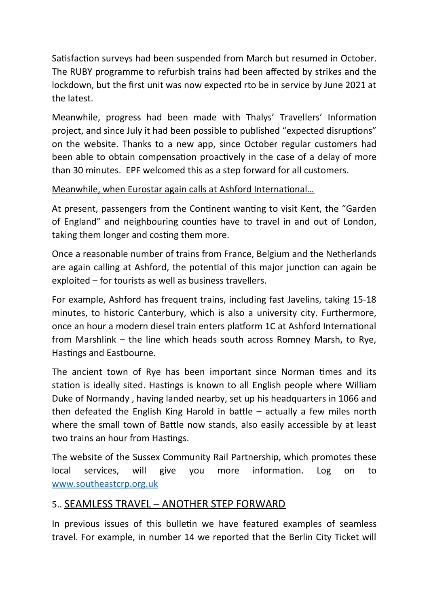Satisfaction surveys had been suspended from March but resumed in October. The RUBY programme to refurbish trains had been affected by strikes and the lockdown, but the first unit was now expected rto be in service by June 2021 at the latest.

Meanwhile, progress had been made with Thalys' Travellers' Information project, and since July it had been possible to published "expected disruptions" on the website. Thanks to a new app, since October regular customers had been able to obtain compensation proactively in the case of a delay of more than 30 minutes. EPF welcomed this as a step forward for all customers.

Meanwhile, when Eurostar again calls at Ashford International…

At present, passengers from the Continent wanting to visit Kent, the "Garden of England" and neighbouring counties have to travel in and out of London, taking them longer and costing them more.

Once a reasonable number of trains from France, Belgium and the Netherlands are again calling at Ashford, the potential of this major junction can again be exploited – for tourists as well as business travellers.

For example, Ashford has frequent trains, including fast Javelins, taking 15-18 minutes, to historic Canterbury, which is also a university city. Furthermore, once an hour a modern diesel train enters platform 1C at Ashford International from Marshlink – the line which heads south across Romney Marsh, to Rye, Hastings and Eastbourne.

The ancient town of Rye has been important since Norman times and its station is ideally sited. Hastings is known to all English people where William Duke of Normandy , having landed nearby, set up his headquarters in 1066 and then defeated the English King Harold in battle – actually a few miles north where the small town of Battle now stands, also easily accessible by at least two trains an hour from Hastings.

The website of the Sussex Community Rail Partnership, which promotes these local services, will give you more information. Log on to [www.southeastcrp.org.uk](http://www.southeastcrp.org.uk/) 

#### 5.. SEAMLESS TRAVEL – ANOTHER STEP FORWARD

In previous issues of this bulletin we have featured examples of seamless travel. For example, in number 14 we reported that the Berlin City Ticket will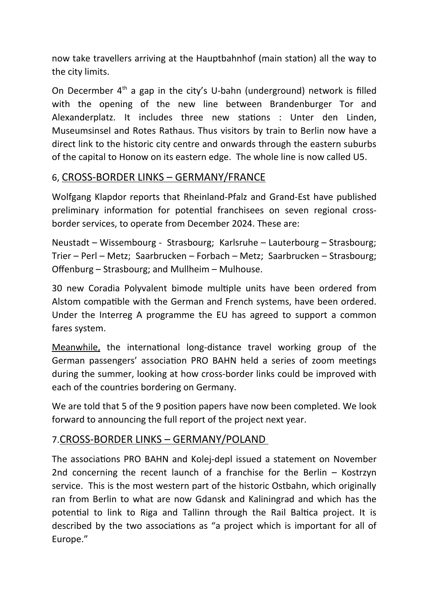now take travellers arriving at the Hauptbahnhof (main station) all the way to the city limits.

On Decermber  $4<sup>th</sup>$  a gap in the city's U-bahn (underground) network is filled with the opening of the new line between Brandenburger Tor and Alexanderplatz. It includes three new stations : Unter den Linden, Museumsinsel and Rotes Rathaus. Thus visitors by train to Berlin now have a direct link to the historic city centre and onwards through the eastern suburbs of the capital to Honow on its eastern edge. The whole line is now called U5.

#### 6, CROSS-BORDER LINKS – GERMANY/FRANCE

Wolfgang Klapdor reports that Rheinland-Pfalz and Grand-Est have published preliminary information for potential franchisees on seven regional crossborder services, to operate from December 2024. These are:

Neustadt – Wissembourg - Strasbourg; Karlsruhe – Lauterbourg – Strasbourg; Trier – Perl – Metz; Saarbrucken – Forbach – Metz; Saarbrucken – Strasbourg; Offenburg – Strasbourg; and Mullheim – Mulhouse.

30 new Coradia Polyvalent bimode multiple units have been ordered from Alstom compatible with the German and French systems, have been ordered. Under the Interreg A programme the EU has agreed to support a common fares system.

Meanwhile, the international long-distance travel working group of the German passengers' association PRO BAHN held a series of zoom meetings during the summer, looking at how cross-border links could be improved with each of the countries bordering on Germany.

We are told that 5 of the 9 position papers have now been completed. We look forward to announcing the full report of the project next year.

#### 7.CROSS-BORDER LINKS – GERMANY/POLAND

The associations PRO BAHN and Kolej-depl issued a statement on November 2nd concerning the recent launch of a franchise for the Berlin – Kostrzyn service. This is the most western part of the historic Ostbahn, which originally ran from Berlin to what are now Gdansk and Kaliningrad and which has the potential to link to Riga and Tallinn through the Rail Baltica project. It is described by the two associations as "a project which is important for all of Europe."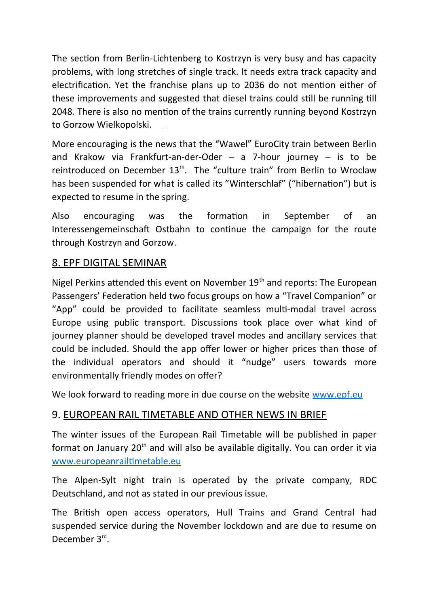The section from Berlin-Lichtenberg to Kostrzyn is very busy and has capacity problems, with long stretches of single track. It needs extra track capacity and electrification. Yet the franchise plans up to 2036 do not mention either of these improvements and suggested that diesel trains could still be running till 2048. There is also no mention of the trains currently running beyond Kostrzyn to Gorzow Wielkopolski.

More encouraging is the news that the "Wawel" EuroCity train between Berlin and Krakow via Frankfurt-an-der-Oder  $-$  a 7-hour journey  $-$  is to be reintroduced on December 13<sup>th</sup>. The "culture train" from Berlin to Wroclaw has been suspended for what is called its "Winterschlaf" ("hibernation") but is expected to resume in the spring.

Also encouraging was the formation in September of an Interessengemeinschaft Ostbahn to continue the campaign for the route through Kostrzyn and Gorzow.

### 8. EPF DIGITAL SEMINAR

Nigel Perkins attended this event on November 19<sup>th</sup> and reports: The European Passengers' Federation held two focus groups on how a "Travel Companion" or "App" could be provided to facilitate seamless multi-modal travel across Europe using public transport. Discussions took place over what kind of journey planner should be developed travel modes and ancillary services that could be included. Should the app offer lower or higher prices than those of the individual operators and should it "nudge" users towards more environmentally friendly modes on offer?

We look forward to reading more in due course on the website [www.epf.eu](http://www.epf.eu/)

## 9. EUROPEAN RAIL TIMETABLE AND OTHER NEWS IN BRIEF

The winter issues of the European Rail Timetable will be published in paper format on January  $20<sup>th</sup>$  and will also be available digitally. You can order it via [www.europeanrailtimetable.eu](http://www.europeanrailtimetable.eu/)

The Alpen-Sylt night train is operated by the private company, RDC Deutschland, and not as stated in our previous issue.

The British open access operators, Hull Trains and Grand Central had suspended service during the November lockdown and are due to resume on December 3rd.